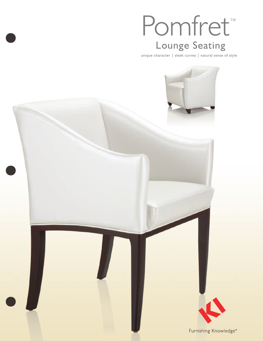# Pomfret ™ Lounge Seating

unique character | sleek curves | natural sense of style